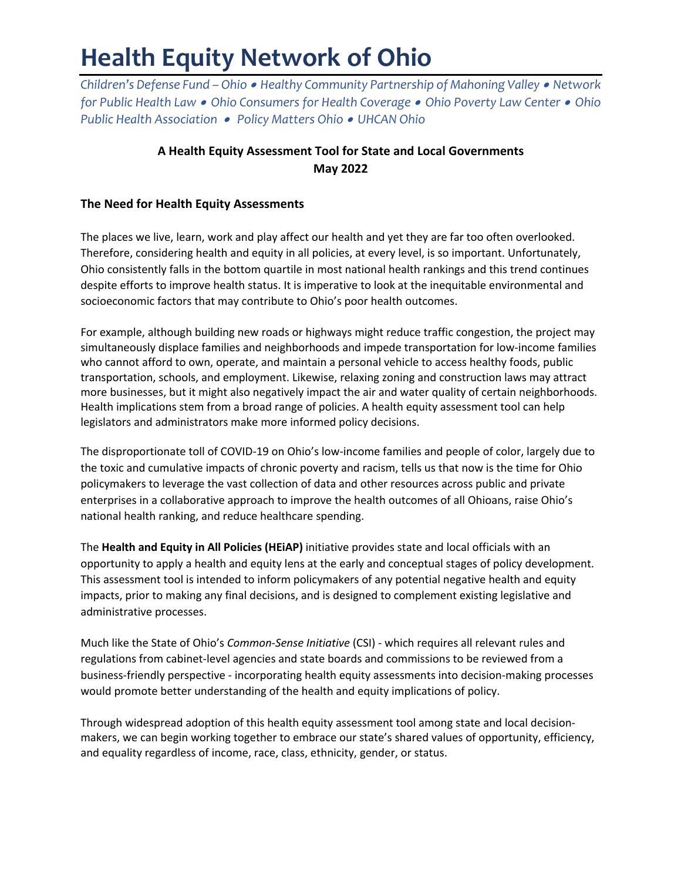# **Health Equity Network of Ohio**

*Children's Defense Fund – Ohio* • *Healthy Community Partnership of Mahoning Valley* • *Network for Public Health Law* • *Ohio Consumers for Health Coverage* • *Ohio Poverty Law Center* • *Ohio Public Health Association* • *Policy Matters Ohio* • *UHCAN Ohio*

# **A Health Equity Assessment Tool for State and Local Governments May 2022**

# **The Need for Health Equity Assessments**

The places we live, learn, work and play affect our health and yet they are far too often overlooked. Therefore, considering health and equity in all policies, at every level, is so important. Unfortunately, Ohio consistently falls in the bottom quartile in most national health rankings and this trend continues despite efforts to improve health status. It is imperative to look at the inequitable environmental and socioeconomic factors that may contribute to Ohio's poor health outcomes.

For example, although building new roads or highways might reduce traffic congestion, the project may simultaneously displace families and neighborhoods and impede transportation for low-income families who cannot afford to own, operate, and maintain a personal vehicle to access healthy foods, public transportation, schools, and employment. Likewise, relaxing zoning and construction laws may attract more businesses, but it might also negatively impact the air and water quality of certain neighborhoods. Health implications stem from a broad range of policies. A health equity assessment tool can help legislators and administrators make more informed policy decisions.

The disproportionate toll of COVID-19 on Ohio's low-income families and people of color, largely due to the toxic and cumulative impacts of chronic poverty and racism, tells us that now is the time for Ohio policymakers to leverage the vast collection of data and other resources across public and private enterprises in a collaborative approach to improve the health outcomes of all Ohioans, raise Ohio's national health ranking, and reduce healthcare spending.

The **Health and Equity in All Policies (HEiAP)** initiative provides state and local officials with an opportunity to apply a health and equity lens at the early and conceptual stages of policy development. This assessment tool is intended to inform policymakers of any potential negative health and equity impacts, prior to making any final decisions, and is designed to complement existing legislative and administrative processes.

Much like the State of Ohio's *Common-Sense Initiative* (CSI) - which requires all relevant rules and regulations from cabinet-level agencies and state boards and commissions to be reviewed from a business-friendly perspective - incorporating health equity assessments into decision-making processes would promote better understanding of the health and equity implications of policy.

Through widespread adoption of this health equity assessment tool among state and local decisionmakers, we can begin working together to embrace our state's shared values of opportunity, efficiency, and equality regardless of income, race, class, ethnicity, gender, or status.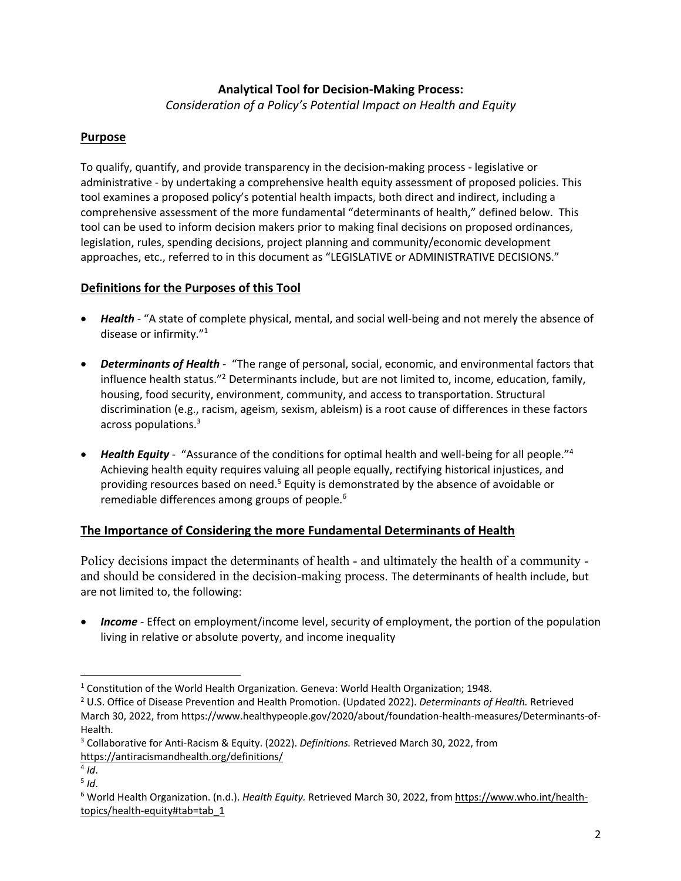# **Analytical Tool for Decision-Making Process:**

*Consideration of a Policy's Potential Impact on Health and Equity* 

# **Purpose**

To qualify, quantify, and provide transparency in the decision-making process - legislative or administrative - by undertaking a comprehensive health equity assessment of proposed policies. This tool examines a proposed policy's potential health impacts, both direct and indirect, including a comprehensive assessment of the more fundamental "determinants of health," defined below. This tool can be used to inform decision makers prior to making final decisions on proposed ordinances, legislation, rules, spending decisions, project planning and community/economic development approaches, etc., referred to in this document as "LEGISLATIVE or ADMINISTRATIVE DECISIONS."

# **Definitions for the Purposes of this Tool**

- *Health* "A state of complete physical, mental, and social well-being and not merely the absence of disease or infirmity."1
- *Determinants of Health* "The range of personal, social, economic, and environmental factors that influence health status."2 Determinants include, but are not limited to, income, education, family, housing, food security, environment, community, and access to transportation. Structural discrimination (e.g., racism, ageism, sexism, ableism) is a root cause of differences in these factors across populations.3
- *Health Equity* "Assurance of the conditions for optimal health and well-being for all people."4 Achieving health equity requires valuing all people equally, rectifying historical injustices, and providing resources based on need.<sup>5</sup> Equity is demonstrated by the absence of avoidable or remediable differences among groups of people.<sup>6</sup>

## **The Importance of Considering the more Fundamental Determinants of Health**

Policy decisions impact the determinants of health - and ultimately the health of a community and should be considered in the decision-making process. The determinants of health include, but are not limited to, the following:

• *Income* - Effect on employment/income level, security of employment, the portion of the population living in relative or absolute poverty, and income inequality

<sup>&</sup>lt;sup>1</sup> Constitution of the World Health Organization. Geneva: World Health Organization; 1948.

<sup>2</sup> U.S. Office of Disease Prevention and Health Promotion. (Updated 2022). *Determinants of Health.* Retrieved March 30, 2022, from https://www.healthypeople.gov/2020/about/foundation-health-measures/Determinants-of-Health.

<sup>3</sup> Collaborative for Anti-Racism & Equity. (2022). *Definitions.* Retrieved March 30, 2022, from https://antiracismandhealth.org/definitions/

 $4$  *Id*.

<sup>5</sup> *Id*.

<sup>6</sup> World Health Organization. (n.d.). *Health Equity.* Retrieved March 30, 2022, from https://www.who.int/healthtopics/health-equity#tab=tab\_1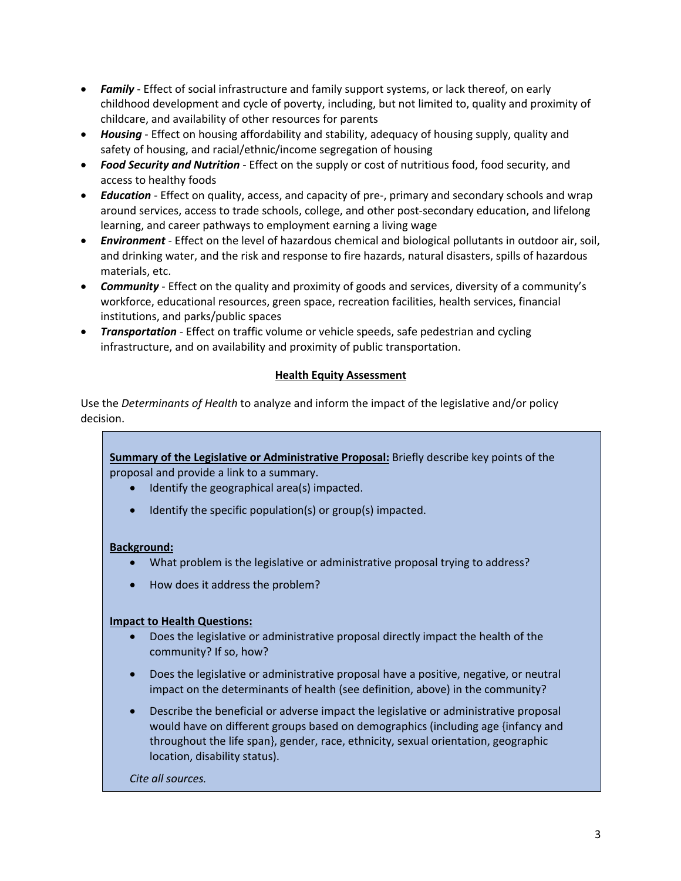- *Family* Effect of social infrastructure and family support systems, or lack thereof, on early childhood development and cycle of poverty, including, but not limited to, quality and proximity of childcare, and availability of other resources for parents
- *Housing* Effect on housing affordability and stability, adequacy of housing supply, quality and safety of housing, and racial/ethnic/income segregation of housing
- *Food Security and Nutrition* Effect on the supply or cost of nutritious food, food security, and access to healthy foods
- *Education* Effect on quality, access, and capacity of pre-, primary and secondary schools and wrap around services, access to trade schools, college, and other post-secondary education, and lifelong learning, and career pathways to employment earning a living wage
- *Environment* Effect on the level of hazardous chemical and biological pollutants in outdoor air, soil, and drinking water, and the risk and response to fire hazards, natural disasters, spills of hazardous materials, etc.
- *Community* Effect on the quality and proximity of goods and services, diversity of a community's workforce, educational resources, green space, recreation facilities, health services, financial institutions, and parks/public spaces
- *Transportation* Effect on traffic volume or vehicle speeds, safe pedestrian and cycling infrastructure, and on availability and proximity of public transportation.

## **Health Equity Assessment**

Use the *Determinants of Health* to analyze and inform the impact of the legislative and/or policy decision.

**Health Equity Assessment** proposal and provide a link to a summary. **Summary of the Legislative or Administrative Proposal:** Briefly describe key points of the

- Identify the geographical area(s) impacted.
- Identify the specific population(s) or group(s) impacted.

## **Background:**

- What problem is the legislative or administrative proposal trying to address?
- How does it address the problem?

## **Impact to Health Questions:**

- Does the legislative or administrative proposal directly impact the health of the community? If so, how?
- Does the legislative or administrative proposal have a positive, negative, or neutral impact on the determinants of health (see definition, above) in the community?
- Describe the beneficial or adverse impact the legislative or administrative proposal would have on different groups based on demographics (including age {infancy and throughout the life span}, gender, race, ethnicity, sexual orientation, geographic location, disability status).

*Cite all sources.*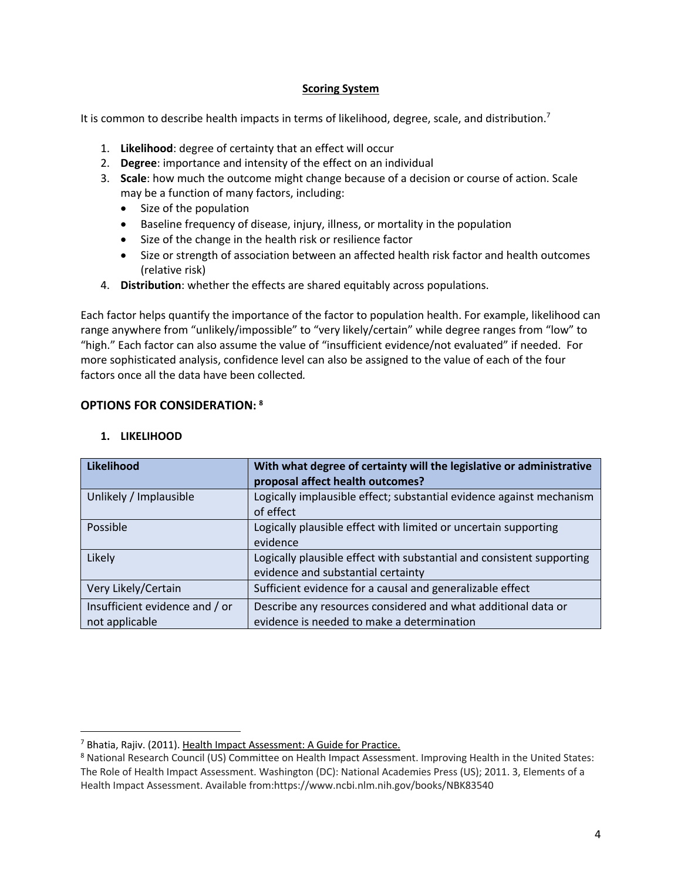#### **Scoring System**

It is common to describe health impacts in terms of likelihood, degree, scale, and distribution.<sup>7</sup>

- 1. **Likelihood**: degree of certainty that an effect will occur
- 2. **Degree**: importance and intensity of the effect on an individual
- 3. **Scale**: how much the outcome might change because of a decision or course of action. Scale may be a function of many factors, including:
	- Size of the population
	- Baseline frequency of disease, injury, illness, or mortality in the population
	- Size of the change in the health risk or resilience factor
	- Size or strength of association between an affected health risk factor and health outcomes (relative risk)
- 4. **Distribution**: whether the effects are shared equitably across populations.

Each factor helps quantify the importance of the factor to population health. For example, likelihood can range anywhere from "unlikely/impossible" to "very likely/certain" while degree ranges from "low" to "high." Each factor can also assume the value of "insufficient evidence/not evaluated" if needed. For more sophisticated analysis, confidence level can also be assigned to the value of each of the four factors once all the data have been collected*.* 

#### **OPTIONS FOR CONSIDERATION: 8**

| Likelihood                                       | With what degree of certainty will the legislative or administrative<br>proposal affect health outcomes?    |
|--------------------------------------------------|-------------------------------------------------------------------------------------------------------------|
| Unlikely / Implausible                           | Logically implausible effect; substantial evidence against mechanism<br>of effect                           |
| Possible                                         | Logically plausible effect with limited or uncertain supporting<br>evidence                                 |
| Likely                                           | Logically plausible effect with substantial and consistent supporting<br>evidence and substantial certainty |
| Very Likely/Certain                              | Sufficient evidence for a causal and generalizable effect                                                   |
| Insufficient evidence and / or<br>not applicable | Describe any resources considered and what additional data or<br>evidence is needed to make a determination |

#### **1. LIKELIHOOD**

<sup>&</sup>lt;sup>7</sup> Bhatia, Rajiv. (2011). Health Impact Assessment: A Guide for Practice.

<sup>8</sup> National Research Council (US) Committee on Health Impact Assessment. Improving Health in the United States: The Role of Health Impact Assessment. Washington (DC): National Academies Press (US); 2011. 3, Elements of a Health Impact Assessment. Available from:https://www.ncbi.nlm.nih.gov/books/NBK83540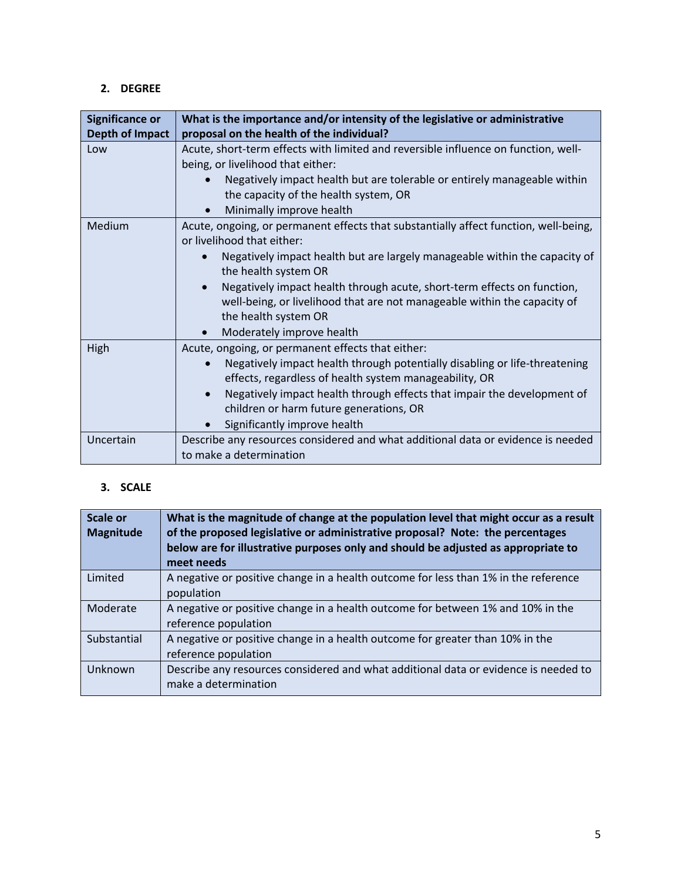# **2. DEGREE**

| <b>Significance or</b> | What is the importance and/or intensity of the legislative or administrative                                                                                                                                                                                                                                                                                                                                                         |
|------------------------|--------------------------------------------------------------------------------------------------------------------------------------------------------------------------------------------------------------------------------------------------------------------------------------------------------------------------------------------------------------------------------------------------------------------------------------|
| Depth of Impact        | proposal on the health of the individual?                                                                                                                                                                                                                                                                                                                                                                                            |
| Low                    | Acute, short-term effects with limited and reversible influence on function, well-<br>being, or livelihood that either:<br>Negatively impact health but are tolerable or entirely manageable within<br>the capacity of the health system, OR<br>Minimally improve health                                                                                                                                                             |
| Medium                 | Acute, ongoing, or permanent effects that substantially affect function, well-being,<br>or livelihood that either:<br>Negatively impact health but are largely manageable within the capacity of<br>the health system OR<br>Negatively impact health through acute, short-term effects on function,<br>well-being, or livelihood that are not manageable within the capacity of<br>the health system OR<br>Moderately improve health |
| High                   | Acute, ongoing, or permanent effects that either:<br>Negatively impact health through potentially disabling or life-threatening<br>$\bullet$<br>effects, regardless of health system manageability, OR<br>Negatively impact health through effects that impair the development of<br>$\bullet$<br>children or harm future generations, OR<br>Significantly improve health                                                            |
| Uncertain              | Describe any resources considered and what additional data or evidence is needed<br>to make a determination                                                                                                                                                                                                                                                                                                                          |

# **3. SCALE**

| Scale or<br><b>Magnitude</b> | What is the magnitude of change at the population level that might occur as a result<br>of the proposed legislative or administrative proposal? Note: the percentages<br>below are for illustrative purposes only and should be adjusted as appropriate to<br>meet needs |
|------------------------------|--------------------------------------------------------------------------------------------------------------------------------------------------------------------------------------------------------------------------------------------------------------------------|
| Limited                      | A negative or positive change in a health outcome for less than 1% in the reference<br>population                                                                                                                                                                        |
| Moderate                     | A negative or positive change in a health outcome for between 1% and 10% in the<br>reference population                                                                                                                                                                  |
| Substantial                  | A negative or positive change in a health outcome for greater than 10% in the<br>reference population                                                                                                                                                                    |
| <b>Unknown</b>               | Describe any resources considered and what additional data or evidence is needed to<br>make a determination                                                                                                                                                              |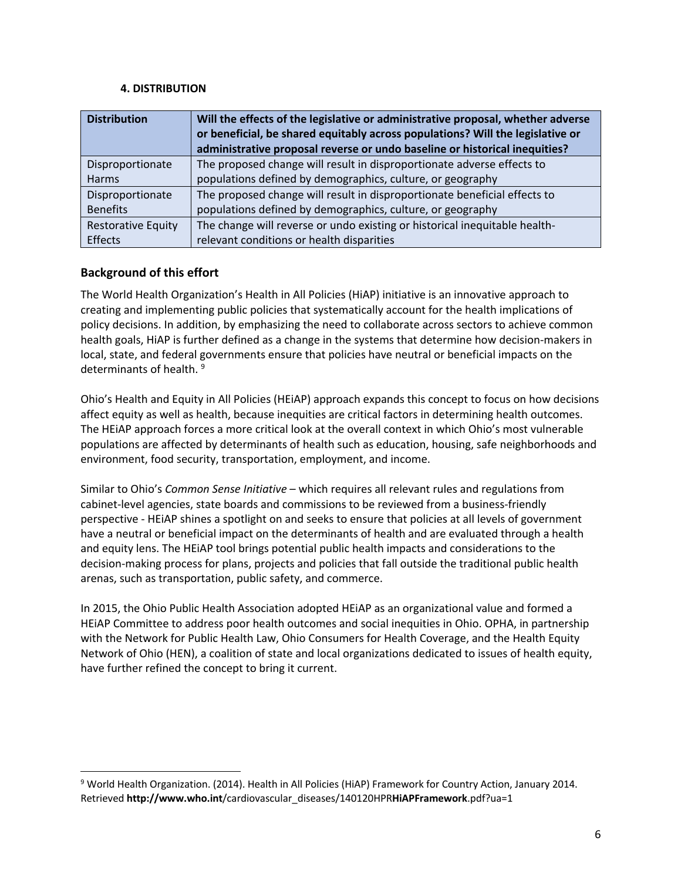#### **4. DISTRIBUTION**

| <b>Distribution</b>       | Will the effects of the legislative or administrative proposal, whether adverse<br>or beneficial, be shared equitably across populations? Will the legislative or |
|---------------------------|-------------------------------------------------------------------------------------------------------------------------------------------------------------------|
|                           | administrative proposal reverse or undo baseline or historical inequities?                                                                                        |
| Disproportionate          | The proposed change will result in disproportionate adverse effects to                                                                                            |
| Harms                     | populations defined by demographics, culture, or geography                                                                                                        |
| Disproportionate          | The proposed change will result in disproportionate beneficial effects to                                                                                         |
| <b>Benefits</b>           | populations defined by demographics, culture, or geography                                                                                                        |
| <b>Restorative Equity</b> | The change will reverse or undo existing or historical inequitable health-                                                                                        |
| Effects                   | relevant conditions or health disparities                                                                                                                         |

# **Background of this effort**

The World Health Organization's Health in All Policies (HiAP) initiative is an innovative approach to creating and implementing public policies that systematically account for the health implications of policy decisions. In addition, by emphasizing the need to collaborate across sectors to achieve common health goals, HiAP is further defined as a change in the systems that determine how decision-makers in local, state, and federal governments ensure that policies have neutral or beneficial impacts on the determinants of health.<sup>9</sup>

Ohio's Health and Equity in All Policies (HEiAP) approach expands this concept to focus on how decisions affect equity as well as health, because inequities are critical factors in determining health outcomes. The HEiAP approach forces a more critical look at the overall context in which Ohio's most vulnerable populations are affected by determinants of health such as education, housing, safe neighborhoods and environment, food security, transportation, employment, and income.

Similar to Ohio's *Common Sense Initiative* – which requires all relevant rules and regulations from cabinet-level agencies, state boards and commissions to be reviewed from a business-friendly perspective - HEiAP shines a spotlight on and seeks to ensure that policies at all levels of government have a neutral or beneficial impact on the determinants of health and are evaluated through a health and equity lens. The HEiAP tool brings potential public health impacts and considerations to the decision-making process for plans, projects and policies that fall outside the traditional public health arenas, such as transportation, public safety, and commerce.

In 2015, the Ohio Public Health Association adopted HEiAP as an organizational value and formed a HEiAP Committee to address poor health outcomes and social inequities in Ohio. OPHA, in partnership with the Network for Public Health Law, Ohio Consumers for Health Coverage, and the Health Equity Network of Ohio (HEN), a coalition of state and local organizations dedicated to issues of health equity, have further refined the concept to bring it current.

<sup>9</sup> World Health Organization. (2014). Health in All Policies (HiAP) Framework for Country Action, January 2014. Retrieved **http://www.who.int**/cardiovascular\_diseases/140120HPR**HiAPFramework**.pdf?ua=1